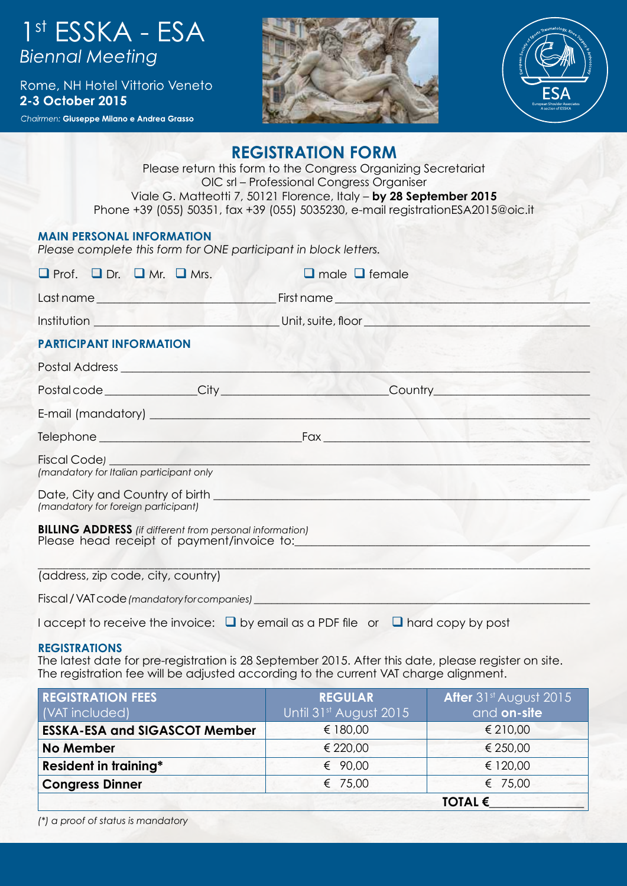# 1<sup>st</sup> ESSKA - ESA<br>Biennal Meeting

Rome, NH Hotel Vittorio Veneto 2-3 October 2015

Chairmen: Giuseppe Milano e Andrea Grasso





# **REGISTRATION FORM**

Please return this form to the Congress Organizing Secretariat OIC srl – Professional Congress Organiser Viale G. Matteotti 7, 50121 Florence, Italy – **by 28 September 2015** Phone +39 (055) 50351, fax +39 (055) 5035230, e-mail registrationESA2015@oic.it

## **MAIN PERSONAL INFORMATION**

*Please complete this form for ONE participant in block letters.* 

| $\Box$ Prof. $\Box$ Dr. $\Box$ Mr. $\Box$ Mrs.                                                                                                                                                                                 | $\Box$ male $\Box$ female                                                                                                                                                                                                     |  |  |  |
|--------------------------------------------------------------------------------------------------------------------------------------------------------------------------------------------------------------------------------|-------------------------------------------------------------------------------------------------------------------------------------------------------------------------------------------------------------------------------|--|--|--|
|                                                                                                                                                                                                                                |                                                                                                                                                                                                                               |  |  |  |
|                                                                                                                                                                                                                                |                                                                                                                                                                                                                               |  |  |  |
| <b>PARTICIPANT INFORMATION</b>                                                                                                                                                                                                 |                                                                                                                                                                                                                               |  |  |  |
| Postal Address experiences and the contract of the contract of the contract of the contract of the contract of the contract of the contract of the contract of the contract of the contract of the contract of the contract of |                                                                                                                                                                                                                               |  |  |  |
|                                                                                                                                                                                                                                | Postal code _____________City ____________________________Country ______________                                                                                                                                              |  |  |  |
|                                                                                                                                                                                                                                |                                                                                                                                                                                                                               |  |  |  |
|                                                                                                                                                                                                                                | Telephone Fax Fax Fraction of the Contract of Telephone Contract of Telephone Contract of Telephone Contract of Telephone Contract of Telephone Contract of Telephone Contract of Telephone Contract of Telephone Contract of |  |  |  |
| Fiscal Code) <b>Fiscal</b><br>(mandatory for Italian participant only                                                                                                                                                          |                                                                                                                                                                                                                               |  |  |  |
| (mandatory for foreign participant)                                                                                                                                                                                            |                                                                                                                                                                                                                               |  |  |  |
| <b>BILLING ADDRESS</b> (if different from personal information)                                                                                                                                                                |                                                                                                                                                                                                                               |  |  |  |
| (address, zip code, city, country)                                                                                                                                                                                             |                                                                                                                                                                                                                               |  |  |  |

Fiscal / VAT code *(mandatory for companies)* 

I accept to receive the invoice:  $\Box$  by email as a PDF file or  $\Box$  hard copy by post

**REGISTRATIONS** 

The latest date for pre-registration is 28 September 2015. After this date, please register on site. The registration fee will be adjusted according to the current VAT charge alignment.

| <b>REGISTRATION FEES</b><br>(VAT included) | <b>REGULAR</b><br>Until 31st August 2015 | After 31 <sup>st</sup> August 2015<br>and on-site |
|--------------------------------------------|------------------------------------------|---------------------------------------------------|
| <b>ESSKA-ESA and SIGASCOT Member</b>       | € 180,00                                 | € 210,00                                          |
| <b>No Member</b>                           | € 220,00                                 | € 250,00                                          |
| <b>Resident in training*</b>               | € $90,00$                                | € 120,00                                          |
| <b>Congress Dinner</b>                     | € 75,00                                  | € 75,00                                           |
|                                            |                                          | TOTAL $\epsilon$                                  |

*(\*) a proof of status is mandatory*